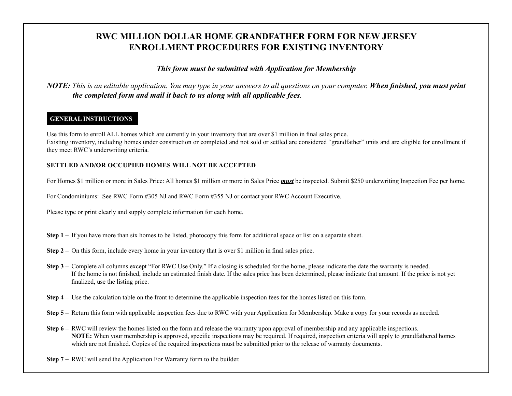## **RWC MILLION DOLLAR HOME GRANDFATHER FORM FOR NEW JERSEY ENROLLMENT PROCEDURES FOR EXISTING INVENTORY**

*This form must be submitted with Application for Membership*

*NOTE: This is an editable application. You may type in your answers to all questions on your computer. When finished, you must print the completed form and mail it back to us along with all applicable fees.*

## **GENERAL INSTRUCTIONS**

Use this form to enroll ALL homes which are currently in your inventory that are over \$1 million in final sales price. Existing inventory, including homes under construction or completed and not sold or settled are considered "grandfather" units and are eligible for enrollment if they meet RWC's underwriting criteria.

## **SETTLED AND/OR OCCUPIED HOMES WILL NOT BE ACCEPTED**

For Homes \$1 million or more in Sales Price: All homes \$1 million or more in Sales Price *must* be inspected. Submit \$250 underwriting Inspection Fee per home.

For Condominiums: See RWC Form #305 NJ and RWC Form #355 NJ or contact your RWC Account Executive.

Please type or print clearly and supply complete information for each home.

- **Step 1** If you have more than six homes to be listed, photocopy this form for additional space or list on a separate sheet.
- **Step 2** On this form, include every home in your inventory that is over \$1 million in final sales price.
- **Step 3** Complete all columns except "For RWC Use Only." If a closing is scheduled for the home, please indicate the date the warranty is needed. If the home is not finished, include an estimated finish date. If the sales price has been determined, please indicate that amount. If the price is not yet finalized, use the listing price.
- **Step 4 –** Use the calculation table on the front to determine the applicable inspection fees for the homes listed on this form.
- **Step 5** Return this form with applicable inspection fees due to RWC with your Application for Membership. Make a copy for your records as needed.
- **Step 6** RWC will review the homes listed on the form and release the warranty upon approval of membership and any applicable inspections. **NOTE:** When your membership is approved, specific inspections may be required. If required, inspection criteria will apply to grandfathered homes which are not finished. Copies of the required inspections must be submitted prior to the release of warranty documents.
- **Step 7** RWC will send the Application For Warranty form to the builder.